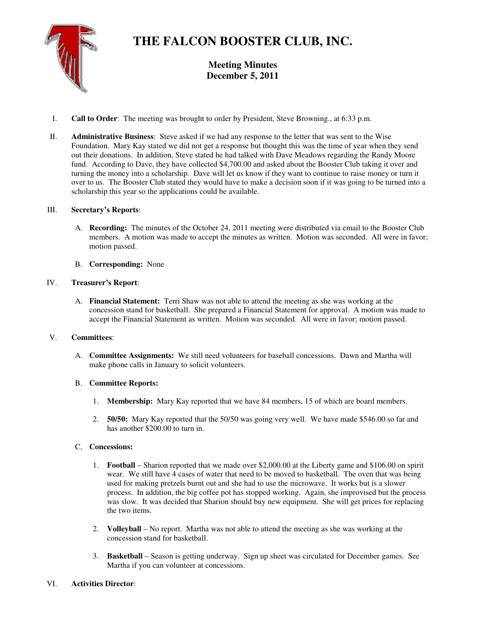

# **THE FALCON BOOSTER CLUB, INC.**

**Meeting Minutes December 5, 2011** 

- I. **Call to Order**: The meeting was brought to order by President, Steve Browning., at 6:33 p.m.
- II. **Administrative Business**: Steve asked if we had any response to the letter that was sent to the Wise Foundation. Mary Kay stated we did not get a response but thought this was the time of year when they send out their donations. In addition, Steve stated he had talked with Dave Meadows regarding the Randy Moore fund. According to Dave, they have collected \$4,700.00 and asked about the Booster Club taking it over and turning the money into a scholarship. Dave will let us know if they want to continue to raise money or turn it over to us. The Booster Club stated they would have to make a decision soon if it was going to be turned into a scholarship this year so the applications could be available.

### III. **Secretary's Reports**:

- A. **Recording:** The minutes of the October 24, 2011 meeting were distributed via email to the Booster Club members. A motion was made to accept the minutes as written. Motion was seconded. All were in favor; motion passed.
- B. **Corresponding:** None

## IV. **Treasurer's Report**:

A. **Financial Statement:** Terri Shaw was not able to attend the meeting as she was working at the concession stand for basketball. She prepared a Financial Statement for approval. A motion was made to accept the Financial Statement as written. Motion was seconded. All were in favor; motion passed.

### V. **Committees**:

A. **Committee Assignments:** We still need volunteers for baseball concessions. Dawn and Martha will make phone calls in January to solicit volunteers.

### B. **Committee Reports:**

- 1. **Membership:** Mary Kay reported that we have 84 members, 15 of which are board members.
- 2. **50/50:** Mary Kay reported that the 50/50 was going very well. We have made \$546.00 so far and has another \$200.00 to turn in.

### C. **Concessions:**

- 1. **Football** Sharion reported that we made over \$2,000.00 at the Liberty game and \$106.00 on spirit wear. We still have 4 cases of water that need to be moved to basketball. The oven that was being used for making pretzels burnt out and she had to use the microwave. It works but is a slower process. In addition, the big coffee pot has stopped working. Again, she improvised but the process was slow. It was decided that Sharion should buy new equipment. She will get prices for replacing the two items.
- 2. **Volleyball** No report. Martha was not able to attend the meeting as she was working at the concession stand for basketball.
- 3. **Basketball** Season is getting underway. Sign up sheet was circulated for December games. See Martha if you can volunteer at concessions.

### VI. **Activities Director**: